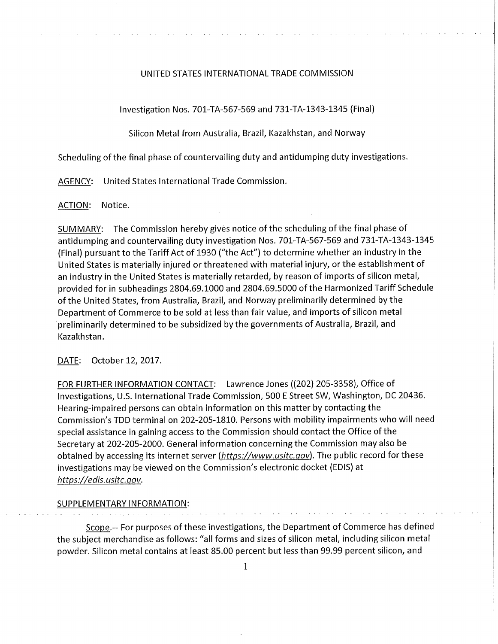## UNITED STATES INTERNATIONAL TRADE COMMISSION

Investigation Nos. 701-TA-567-569 and 731-TA-1343-1345 (Final)

Silicon Metal from Australia, Brazil, Kazakhstan, and Norway

Scheduling of the final phase of countervailing duty and antidumping duty investigations.

AGENCY: United States International Trade Commission.

ACTION: Notice.

SUMMARY: The Commission hereby gives notice of the scheduling of the final phase of antidumping and countervailing duty investigation Nos. 701-TA-567-569 and 731-TA-1343-1345 (Final) pursuant to the Tariff Act of 1930 ("the Act") to determine whether an industry in the United States is materially injured or threatened with material injury, or the establishment of an industry in the United States is materially retarded, by reason of imports of silicon metal, provided for in subheadings 2804.69.1000 and 2804.69.5000 of the Harmonized Tariff Schedule of the United States, from Australia, Brazil, and Norway preliminarily determined by the Department of Commerce to be sold at less than fair value, and imports of silicon metal preliminarily determined to be subsidized by the governments of Australia, Brazil, and Kazakhstan.

DATE: October 12, 2017.

FOR FURTHER INFORMATION CONTACT: Lawrence Jones ((202) 205-3358), Office of Investigations, U.S. International Trade Commission, 500 E Street SW, Washington, DC 20436. Hearing-impaired persons can obtain information on this matter by contacting the Commission's TDD terminal on 202-205-1810. Persons with mobility impairments who will need special assistance in gaining access to the Commission should contact the Office of the Secretary at 202-205-2000. General information concerning the Commission may also be obtained by accessing its internet server *(https://www.usitc.qov).* The public record for these investigations may be viewed on the Commission's electronic docket (EDIS) at *https://edis.usitc.qov.* 

SUPPLEMENTARY INFORMATION:

Scope.-- For purposes of these investigations, the Department of Commerce has defined the subject merchandise as follows: "all forms and sizes of silicon metal, including silicon metal powder. Silicon metal contains at least 85.00 percent but less than 99.99 percent silicon, and

1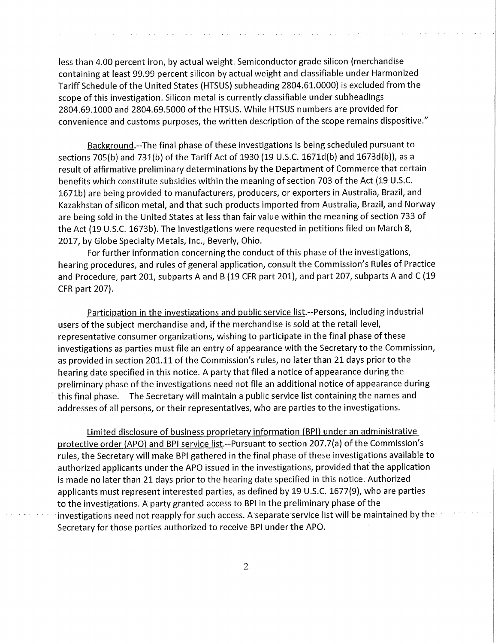less than 4.00 percent iron, by actual weight. Semiconductor grade silicon (merchandise containing at least 99.99 percent silicon by actual weight and classifiable under Harmonized Tariff Schedule of the United States (HTSUS) subheading 2804.61.0000) is excluded from the scope of this investigation. Silicon metal is currently classifiable under subheadings 2804.69.1000 and 2804.69.5000 of the HTSUS. While HTSUS numbers are provided for convenience and customs purposes, the written description of the scope remains dispositive."

Background.--The final phase of these investigations is being scheduled pursuant to sections 705(b) and 731(b) of the Tariff Act of 1930 (19 U.S.C. 1671d(b) and 1673d(b)), as a result of affirmative preliminary determinations by the Department of Commerce that certain benefits which constitute subsidies within the meaning of section 703 of the Act (19 U.S.C. 1671b) are being provided to manufacturers, producers, or exporters in Australia, Brazil, and Kazakhstan of silicon metal, and that such products imported from Australia, Brazil, and Norway are being sold in the United States at less than fair value within the meaning of section 733 of the Act (19 U.S.C. 1673b). The investigations were requested in petitions filed on March 8, 2017, by Globe Specialty Metals, Inc., Beverly, Ohio.

For further information concerning the conduct of this phase of the investigations, hearing procedures, and rules of general application, consult the Commission's Rules of Practice and Procedure, part 201, subparts A and B (19 CFR part 201), and part 207, subparts A and C (19 CFR part 207).

Participation in the investigations and public service list.--Persons, including industrial users of the subject merchandise and, if the merchandise is sold at the retail level, representative consumer organizations, wishing to participate in the final phase of these investigations as parties must file an entry of appearance with the Secretary to the Commission, as provided in section 201.11 of the Commission's rules, no later than 21 days prior to the hearing date specified in this notice. A party that filed a notice of appearance during the preliminary phase of the investigations need not file an additional notice of appearance during this final phase. The Secretary will maintain a public service list containing the names and addresses of all persons, or their representatives, who are parties to the investigations.

Limited disclosure of business proprietary information (BPI) under an administrative protective order (APO) and BPI service list.--Pursuant to section 207.7(a) of the Commission's rules, the Secretary will make BPI gathered in the final phase of these investigations available to authorized applicants under the APO issued in the investigations, provided that the application is made no later than 21 days prior to the hearing date specified in this notice. Authorized applicants must represent interested parties, as defined by 19 U.S.C. 1677(9), who are parties to the investigations. A party granted access to BPI in the preliminary phase of the investigations need not reapply for such access. A separate service list will be maintained by the Secretary for those parties authorized to receive BPI under the APO.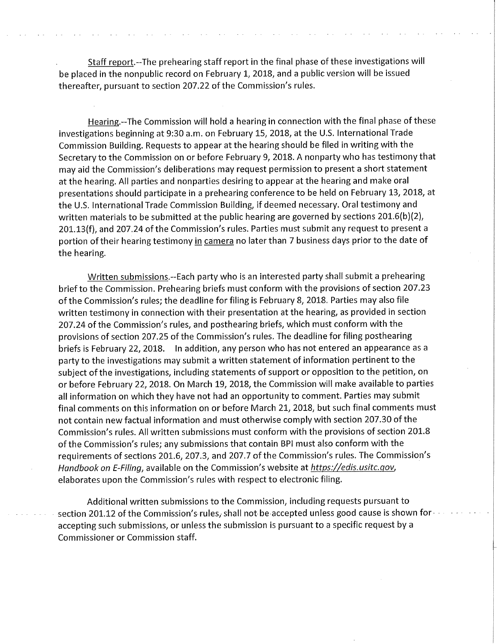Staff report.--The prehearing staff report in the final phase of these investigations will be placed in the nonpublic record on February 1, 2018, and a public version will be issued thereafter, pursuant to section 207.22 of the Commission's rules.

Hearing.--The Commission will hold a hearing in connection with the final phase of these investigations beginning at 9:30 a.m. on February 15, 2018, at the U.S. International Trade Commission Building. Requests to appear at the hearing should be filed in writing with the Secretary to the Commission on or before February 9, 2018. A nonparty who has testimony that may aid the Commission's deliberations may request permission to present a short statement at the hearing. All parties and nonparties desiring to appear at the hearing and make oral presentations should participate in a prehearing conference to be held on February 13, 2018, at the U.S. International Trade Commission Building, if deemed necessary. Oral testimony and written materials to be submitted at the public hearing are governed by sections 201.6(b)(2), 201.13(f), and 207.24 of the Commission's rules. Parties must submit any request to present a portion of their hearing testimony in camera no later than 7 business days prior to the date of the hearing.

Written submissions.--Each party who is an interested party shall submit a prehearing brief to the Commission. Prehearing briefs must conform with the provisions of section 207.23 of the Commission's rules; the deadline for filing is February 8, 2018. Parties may also file written testimony in connection with their presentation at the hearing, as provided in section 207.24 of the Commission's rules, and posthearing briefs, which must conform with the provisions of section 207.25 of the Commission's rules. The deadline for filing posthearing briefs is February 22, 2018. In addition, any person who has not entered an appearance as a party to the investigations may submit a written statement of information pertinent to the subject of the investigations, including statements of support or opposition to the petition, on or before February 22, 2018. On March 19, 2018, the Commission will make available to parties all information on which they have not had an opportunity to comment. Parties may submit final comments on this information on or before March 21, 2018, but such final comments must not contain new factual information and must otherwise comply with section 207.30 of the Commission's rules. All written submissions must conform with the provisions of section 201.8 of the Commission's rules; any submissions that contain BPI must also conform with the requirements of sections 201.6, 207.3, and 207.7 of the Commission's rules. The Commission's *Handbook on E-Filing,* available on the Commission's website at *https://edis.usitc.gov,*  elaborates upon the Commission's rules with respect to electronic filing.

Additional written submissions to the Commission, including requests pursuant to section 201.12 of the Commission's rules, shall not be accepted unless good cause is shown for accepting such submissions, or unless the submission is pursuant to a specific request by a Commissioner or Commission staff.